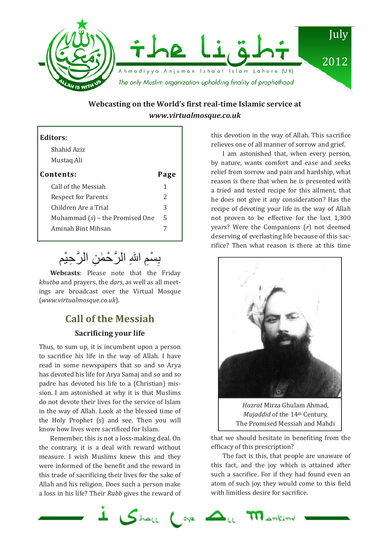

# **Webcasting on the World's first real-time Islamic service at**  *www.virtualmosque.co.uk*

| <b>Editors:</b>                   |      |
|-----------------------------------|------|
| Shahid Aziz                       |      |
| Mustaq Ali                        |      |
| Contents:                         | Page |
| Call of the Messiah               |      |
| <b>Respect for Parents</b>        | 2    |
| Children Are a Trial              | 3    |
| Muhammad $(s)$ – the Promised One | 5    |
| Aminah Bint Mihsan                |      |
|                                   |      |

#### َ بِسْمِ اللهِ الرَّحْمٰنِ الرَّحِيْم ا ِ

**Webcasts**: Please note that the Friday *khutba* and prayers, the *dars*, as well as all meetings are broadcast over the Virtual Mosque (*www.virtualmosque.co.uk*).

# **Call of the Messiah Sacrificing your life**

Thus, to sum up, it is incumbent upon a person to sacrifice his life in the way of Allah. I have read in some newspapers that so and so Arya has devoted his life for Arya Samaj and so and so padre has devoted his life to a (Christian) mission. I am astonished at why it is that Muslims do not devote their lives for the service of Islam in the way of Allah. Look at the blessed time of the Holy Prophet (*s*) and see. Then you will know how lives were sacrificed for Islam.

Remember, this is not a loss-making deal. On the contrary, it is a deal with reward without measure. I wish Muslims knew this and they were informed of the benefit and the reward in this trade of sacrificing their lives for the sake of Allah and his religion. Does such a person make a loss in his life? Their *Rabb* gives the reward of this devotion in the way of Allah. This sacrifice relieves one of all manner of sorrow and grief.

I am astonished that, when every person, by nature, wants comfort and ease and seeks relief from sorrow and pain and hardship, what reason is there that when he is presented with a tried and tested recipe for this ailment, that he does not give it any consideration? Has the recipe of devoting your life in the way of Allah not proven to be effective for the last 1,300 years? Were the Companions (*r*) not deemed deserving of everlasting life because of this sacrifice? Then what reason is there at this time



*Hazrat* Mirza Ghulam Ahmad, *Mujaddid* of the 14th Century, The Promised Messiah and Mahdi

that we should hesitate in benefiting from the efficacy of this prescription?

The fact is this, that people are unaware of this fact, and the joy which is attained after such a sacrifice. For if they had found even an atom of such joy, they would come to this field with limitless desire for sacrifice.

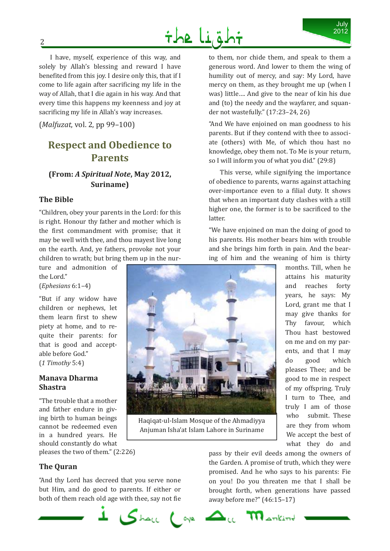

I have, myself, experience of this way, and solely by Allah's blessing and reward I have benefited from this joy. I desire only this, that if I come to life again after sacrificing my life in the way of Allah, that I die again in his way. And that every time this happens my keenness and joy at sacrificing my life in Allah's way increases.

(*Malfuzat*, vol. 2, pp 99–100)

# **Respect and Obedience to Parents**

# **(From:** *A Spiritual Note***, May 2012, Suriname)**

### **The Bible**

"Children, obey your parents in the Lord: for this is right. Honour thy father and mother which is the first commandment with promise; that it may be well with thee, and thou mayest live long on the earth. And, ye fathers, provoke not your children to wrath; but bring them up in the nur-

ture and admonition of the Lord."

(*Ephesians* 6:1–4)

"But if any widow have children or nephews, let them learn first to shew piety at home, and to requite their parents: for that is good and acceptable before God." (*1 Timothy* 5:4)

### **Manava Dharma Shastra**

"The trouble that a mother and father endure in giving birth to human beings cannot be redeemed even in a hundred years. He should constantly do what pleases the two of them." (2:226)

**The Quran** 

"And thy Lord has decreed that you serve none but Him, and do good to parents. If either or both of them reach old age with thee, say not fie

to them, nor chide them, and speak to them a generous word. And lower to them the wing of humility out of mercy, and say: My Lord, have mercy on them, as they brought me up (when I was) little…. And give to the near of kin his due and (to) the needy and the wayfarer, and squander not wastefully." (17:23–24, 26)

"And We have enjoined on man goodness to his parents. But if they contend with thee to associate (others) with Me, of which thou hast no knowledge, obey them not. To Me is your return, so I will inform you of what you did." (29:8)

This verse, while signifying the importance of obedience to parents, warns against attaching over-importance even to a filial duty. It shows that when an important duty clashes with a still higher one, the former is to be sacrificed to the latter.

"We have enjoined on man the doing of good to his parents. His mother bears him with trouble and she brings him forth in pain. And the bearing of him and the weaning of him is thirty

> months. Till, when he attains his maturity and reaches forty years, he says: My Lord, grant me that I may give thanks for Thy favour, which Thou hast bestowed on me and on my parents, and that I may do good which pleases Thee; and be good to me in respect of my offspring. Truly I turn to Thee, and truly I am of those who submit. These are they from whom We accept the best of what they do and

Haqiqat-ul-Islam Mosque of the Ahmadiyya Anjuman Isha'at Islam Lahore in Suriname

pass by their evil deeds among the owners of the Garden. A promise of truth, which they were promised. And he who says to his parents: Fie on you! Do you threaten me that I shall be brought forth, when generations have passed away before me?" (46:15–17)



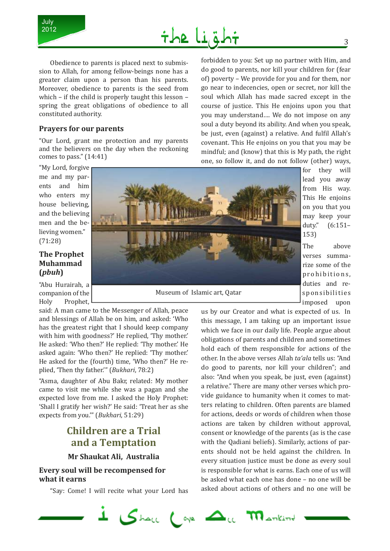



Obedience to parents is placed next to submission to Allah, for among fellow-beings none has a greater claim upon a person than his parents. Moreover, obedience to parents is the seed from which – if the child is properly taught this lesson – spring the great obligations of obedience to all constituted authority.

#### **Prayers for our parents**

"Our Lord, grant me protection and my parents and the believers on the day when the reckoning comes to pass." (14:41)

"My Lord, forgive me and my parents and him who enters my house believing, and the believing men and the believing women." (71:28)

### **The Prophet Muhammad (***pbuh***)**

"Abu Hurairah, a companion of the Holy Prophet,

said: A man came to the Messenger of Allah, peace and blessings of Allah be on him, and asked: 'Who has the greatest right that I should keep company with him with goodness?' He replied, 'Thy mother.' He asked: 'Who then?' He replied: 'Thy mother.' He asked again: 'Who then?' He replied: 'Thy mother.' He asked for the (fourth) time, 'Who then?' He replied, 'Then thy father.'" (*Bukhari*, 78:2)

"Asma, daughter of Abu Bakr, related: My mother came to visit me while she was a pagan and she expected love from me. I asked the Holy Prophet: 'Shall I gratify her wish?' He said: 'Treat her as she expects from you.'" (*Bukhari*, 51:29)

# **Children are a Trial and a Temptation**

### **Mr Shaukat Ali, Australia**

### **Every soul will be recompensed for what it earns**

"Say: Come! I will recite what your Lord has

forbidden to you: Set up no partner with Him, and do good to parents, nor kill your children for (fear of) poverty – We provide for you and for them, nor go near to indecencies, open or secret, nor kill the soul which Allah has made sacred except in the course of justice. This He enjoins upon you that you may understand…. We do not impose on any soul a duty beyond its ability. And when you speak, be just, even (against) a relative. And fulfil Allah's covenant. This He enjoins on you that you may be mindful; and (know) that this is My path, the right one, so follow it, and do not follow (other) ways,



Museum of Islamic art, Qatar

for they will lead you away from His way. This He enjoins on you that you may keep your duty." (6:151– 153)

The above verses summarize some of the prohibitions, duties and responsibilities imposed upon

us by our Creator and what is expected of us. In this message, I am taking up an important issue which we face in our daily life. People argue about obligations of parents and children and sometimes hold each of them responsible for actions of the other. In the above verses Allah *ta'ala* tells us: "And do good to parents, nor kill your children"; and also: "And when you speak, be just, even (against) a relative." There are many other verses which provide guidance to humanity when it comes to matters relating to children. Often parents are blamed for actions, deeds or words of children when those actions are taken by children without approval, consent or knowledge of the parents (as is the case with the Qadiani beliefs). Similarly, actions of parents should not be held against the children. In every situation justice must be done as every soul is responsible for what is earns. Each one of us will be asked what each one has done – no one will be asked about actions of others and no one will be

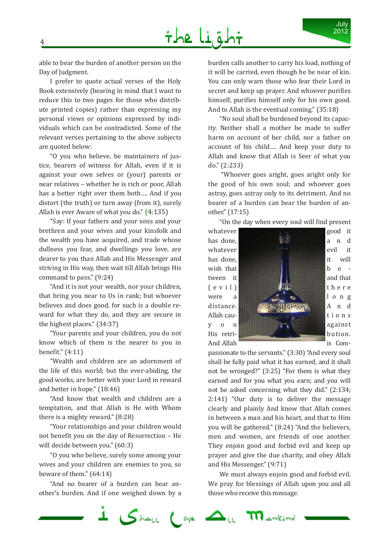able to bear the burden of another person on the Day of Judgment.

I prefer to quote actual verses of the Holy Book extensively (bearing in mind that I want to reduce this to two pages for those who distribute printed copies) rather than expressing my personal views or opinions expressed by individuals which can be contradicted. Some of the relevant verses pertaining to the above subjects are quoted below:

"O you who believe, be maintainers of justice, bearers of witness for Allah, even if it is against your own selves or (your) parents or near relatives – whether he is rich or poor, Allah has a better right over them both…. And if you distort (the truth) or turn away (from it), surely Allah is ever Aware of what you do." **(**4:135)

"Say: If your fathers and your sons and your brethren and your wives and your kinsfolk and the wealth you have acquired, and trade whose dullness you fear, and dwellings you love, are dearer to you than Allah and His Messenger and striving in His way, then wait till Allah brings His command to pass." (9:24)

"And it is not your wealth, nor your children, that bring you near to Us in rank; but whoever believes and does good, for such is a double reward for what they do, and they are secure in the highest places." (34:37)

"Your parents and your children, you do not know which of them is the nearer to you in benefit." (4:11)

"Wealth and children are an adornment of the life of this world; but the ever-abiding, the good works, are better with your Lord in reward and better in hope." (18:46)

"And know that wealth and children are a temptation, and that Allah is He with Whom there is a mighty reward." (8:28)

"Your relationships and your children would not benefit you on the day of Resurrection – He will decide between you." (60:3)

"O you who believe, surely some among your wives and your children are enemies to you, so beware of them." (64:14)

"And no bearer of a burden can bear another's burden. And if one weighed down by a burden calls another to carry his load, nothing of it will be carried, even though he be near of kin. You can only warn those who fear their Lord in secret and keep up prayer. And whoever purifies himself, purifies himself only for his own good. And to Allah is the eventual coming." (35:18)

July 2012

"No soul shall be burdened beyond its capacity. Neither shall a mother be made to suffer harm on account of her child, nor a father on account of his child…. And keep your duty to Allah and know that Allah is Seer of what you do." (2:233)

 "Whoever goes aright, goes aright only for the good of his own soul; and whoever goes astray, goes astray only to its detriment. And no bearer of a burden can bear the burden of another." (17:15)

"On the day when every soul will find present



passionate to the servants." (3:30) "And every soul shall be fully paid what it has earned, and it shall not be wronged?" (3:25) "For them is what they earned and for you what you earn; and you will not be asked concerning what they did." (2:134; 2:141) "Our duty is to deliver the message clearly and plainly And know that Allah comes in between a man and his heart, and that to Him you will be gathered." (8:24) "And the believers, men and women, are friends of one another. They enjoin good and forbid evil and keep up prayer and give the due charity, and obey Allah and His Messenger." (9:71)

We must always enjoin good and forbid evil. We pray for blessings of Allah upon you and all those who receive this message.

 $1 \nabla$  below that  $\Delta_{\alpha}$  $\mathbf{m}_{\text{arkind}}$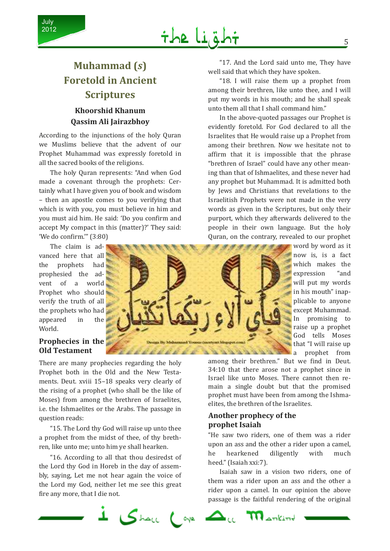

# **Muhammad (***s***) Foretold in Ancient Scriptures**

# **Khoorshid Khanum Qassim Ali Jairazbhoy**

According to the injunctions of the holy Quran we Muslims believe that the advent of our Prophet Muhammad was expressly foretold in all the sacred books of the religions.

The holy Quran represents: "And when God made a covenant through the prophets: Certainly what I have given you of book and wisdom – then an apostle comes to you verifying that which is with you, you must believe in him and you must aid him. He said: 'Do you confirm and accept My compact in this (matter)?' They said: 'We do confirm.'" (3:80)

The claim is advanced here that all the prophets had prophesied the advent of a world Prophet who should verify the truth of all the prophets who had appeared in the World.

### **Prophecies in the Old Testament**

There are many prophecies regarding the holy Prophet both in the Old and the New Testaments. Deut. xviii 15–18 speaks very clearly of the rising of a prophet (who shall be the like of Moses) from among the brethren of Israelites, i.e. the Ishmaelites or the Arabs. The passage in question reads:

"15. The Lord thy God will raise up unto thee a prophet from the midst of thee, of thy brethren, like unto me; unto him ye shall hearken.

"16. According to all that thou desiredst of the Lord thy God in Horeb in the day of assembly, saying, Let me not hear again the voice of the Lord my God, neither let me see this great fire any more, that I die not.

ing By Mehammad You 1 P & A

"17. And the Lord said unto me, They have well said that which they have spoken.

"18. I will raise them up a prophet from among their brethren, like unto thee, and I will put my words in his mouth; and he shall speak unto them all that I shall command him."

In the above-quoted passages our Prophet is evidently foretold. For God declared to all the Israelites that He would raise up a Prophet from among their brethren. Now we hesitate not to affirm that it is impossible that the phrase "brethren of Israel" could have any other meaning than that of Ishmaelites, and these never had any prophet but Muhammad. It is admitted both by Jews and Christians that revelations to the Israelitish Prophets were not made in the very words as given in the Scriptures, but only their purport, which they afterwards delivered to the people in their own language. But the holy Quran, on the contrary, revealed to our prophet

> word by word as it now is, is a fact which makes the expression "and will put my words in his mouth" inapplicable to anyone except Muhammad. In promising to raise up a prophet God tells Moses that "I will raise up a prophet from

among their brethren." But we find in Deut. 34: 10 that there arose not a prophet since in Israel like unto Moses. There cannot then remain a single doubt but that the promised prophet must have been from among the Ishmaelites, the brethren of the Israelites.

### **Another prophecy of the prophet Isaiah**

"He saw two riders, one of them was a rider upon an ass and the other a rider upon a camel, he hearkened diligently with much heed." (Isaiah xxi:7).

Isaiah saw in a vision two riders, one of them was a rider upon an ass and the other a rider upon a camel. In our opinion the above passage is the faithful rendering of the original

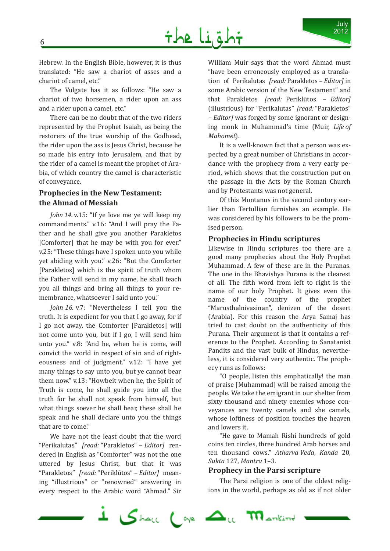Hebrew. In the English Bible, however, it is thus translated: "He saw a chariot of asses and a chariot of camel, etc."

The Vulgate has it as follows: "He saw a chariot of two horsemen, a rider upon an ass and a rider upon a camel, etc."

There can be no doubt that of the two riders represented by the Prophet Isaiah, as being the restorers of the true worship of the Godhead, the rider upon the ass is Jesus Christ, because he so made his entry into Jerusalem, and that by the rider of a camel is meant the prophet of Arabia, of which country the camel is characteristic of conveyance.

## **Prophecies in the New Testament: the Ahmad of Messiah**

*John 14.* v.15: "If ye love me ye will keep my commandments." v.16: "And I will pray the Father and he shall give you another Parakletos [Comforter] that he may be with you for ever." v.25: "These things have I spoken unto you while yet abiding with you." v.26: "But the Comforter [Parakletos] which is the spirit of truth whom the Father will send in my name, he shall teach you all things and bring all things to your remembrance, whatsoever I said unto you."

*John 16.* v.7: "Nevertheless I tell you the truth. It is expedient for you that I go away, for if I go not away, the Comforter [Parakletos] will not come unto you, but if I go, I will send him unto you." v.8: "And he, when he is come, will convict the world in respect of sin and of righteousness and of judgment." v.12: "I have yet many things to say unto you, but ye cannot bear them now." v.13: "Howbeit when he, the Spirit of Truth is come, he shall guide you into all the truth for he shall not speak from himself, but what things soever he shall hear, these shall he speak and he shall declare unto you the things that are to come."

We have not the least doubt that the word "Perikalutas" *[read:* "Parakletos" *– Editor]* rendered in English as "Comforter" was not the one uttered by Jesus Christ, but that it was "Parakletos" *[read:* "Periklūtos" *– Editor]* meaning "illustrious" or "renowned" answering in every respect to the Arabic word "Ahmad." Sir

William Muir says that the word Ahmad must "have been erroneously employed as a translation of Perikalutas *[read:* Parakletos *– Editor]* in some Arabic version of the New Testament" and that Parakletos *[read:* Periklūtos *– Editor]*  (illustrious) for "Perikalutas" *[read:* "Parakletos" *– Editor]* was forged by some ignorant or designing monk in Muhammad's time (Muir, *Life of Ma homet*).

It is a well-known fact that a person was expected by a great number of Christians in accordance with the prophecy from a very early period, which shows that the construction put on the passage in the Acts by the Roman Church and by Protestants was not general.

Of this Montanus in the second century earlier than Tertullian furnishes an example. He was considered by his followers to be the promised person.

### **Prophecies in Hindu scriptures**

Likewise in Hindu scriptures too there are a good many prophecies about the Holy Prophet Muhammad. A few of these are in the Puranas. The one in the Bhavishya Purana is the clearest of all. The fifth word from left to right is the name of our holy Prophet. It gives even the name of the country of the prophet "Marusthalnivasinan", denizen of the desert (Arabia). For this reason the Arya Samaj has tried to cast doubt on the authenticity of this Purana. Their argument is that it contains a reference to the Prophet. According to Sanatanist Pandits and the vast bulk of Hindus, nevertheless, it is considered very authentic. The prophecy runs as follows:

"O people, listen this emphatically! the man of praise [Muhammad] will be raised among the people. We take the emigrant in our shelter from sixty thousand and ninety enemies whose conveyances are twenty camels and she camels, whose loftiness of position touches the heaven and lowers it.

"He gave to Mamah Rishi hundreds of gold coins ten circles, three hundred Arab horses and ten thousand cows." *Atharva Veda*, *Kanda* 20, *Sukta* 127, *Mantra* 1–3.

#### **Prophecy in the Parsi scripture**

The Parsi religion is one of the oldest religions in the world, perhaps as old as if not older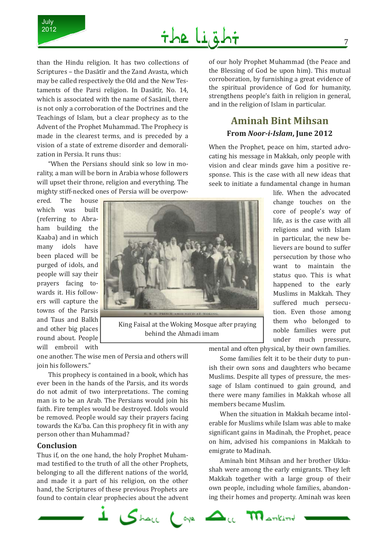

# the Lial

than the Hindu religion. It has two collections of Scriptures – the Dasātīr and the Zand Avasta, which may be called respectively the Old and the New Testaments of the Parsi religion. In Dasātīr, No. 14, which is associated with the name of Sasānil, there is not only a corroboration of the Doctrines and the Teachings of Islam, but a clear prophecy as to the Advent of the Prophet Muhammad. The Prophecy is made in the clearest terms, and is preceded by a vision of a state of extreme disorder and demoralization in Persia. It runs thus:

"When the Persians should sink so low in morality, a man will be born in Arabia whose followers will upset their throne, religion and everything. The mighty stiff-necked ones of Persia will be overpow-

ered. The house which was built (referring to Abraham building the Kaaba) and in which many idols have been placed will be purged of idols, and people will say their prayers facing towards it. His followers will capture the towns of the Parsis and Taus and Balkh and other big places round about. People will embroil with



King Faisal at the Woking Mosque after praying behind the Ahmadi imam

one another. The wise men of Persia and others will join his followers."

This prophecy is contained in a book, which has ever been in the hands of the Parsis, and its words do not admit of two interpretations. The coming man is to be an Arab. The Persians would join his faith. Fire temples would be destroyed. Idols would be removed. People would say their prayers facing towards the Ka'ba. Can this prophecy fit in with any person other than Muhammad?

#### **Conclusion**

Thus if, on the one hand, the holy Prophet Muhammad testified to the truth of all the other Prophets, belonging to all the different nations of the world, and made it a part of his religion, on the other hand, the Scriptures of these previous Prophets are found to contain clear prophecies about the advent of our holy Prophet Muhammad (the Peace and the Blessing of God be upon him). This mutual corroboration, by furnishing a great evidence of the spiritual providence of God for humanity, strengthens people's faith in religion in general, and in the religion of Islam in particular.

# **Aminah Bint Mihsan From** *Noor-i-Islam***, June 2012**

When the Prophet, peace on him, started advocating his message in Makkah, only people with vision and clear minds gave him a positive response. This is the case with all new ideas that seek to initiate a fundamental change in human

> life. When the advocated change touches on the core of people's way of life, as is the case with all religions and with Islam in particular, the new believers are bound to suffer persecution by those who want to maintain the status quo. This is what happened to the early Muslims in Makkah. They suffered much persecution. Even those among them who belonged to noble families were put under much pressure,

mental and often physical, by their own families.

Some families felt it to be their duty to punish their own sons and daughters who became Muslims. Despite all types of pressure, the message of Islam continued to gain ground, and there were many families in Makkah whose all members became Muslim.

When the situation in Makkah became intolerable for Muslims while Islam was able to make significant gains in Madinah, the Prophet, peace on him, advised his companions in Makkah to emigrate to Madinah.

Aminah bint Mihsan and her brother Ukkashah were among the early emigrants. They left Makkah together with a large group of their own people, including whole families, abandoning their homes and property. Aminah was keen

 $\mathbf{m}_{\text{ankind}}$